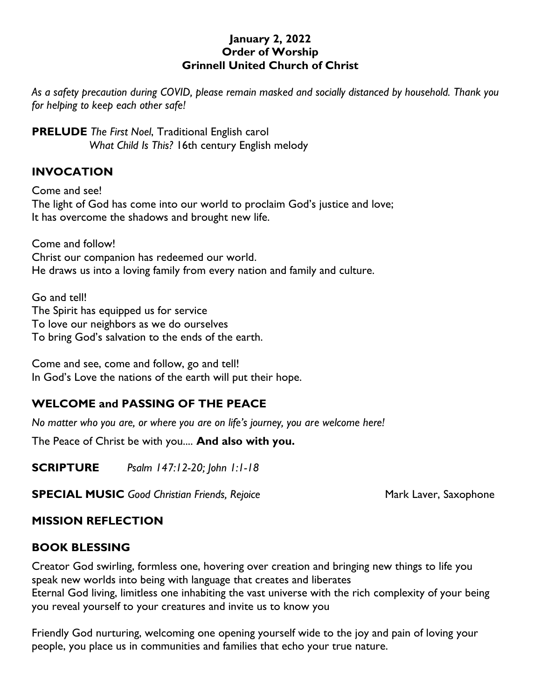#### **January 2, 2022 Order of Worship Grinnell United Church of Christ**

*As a safety precaution during COVID, please remain masked and socially distanced by household. Thank you for helping to keep each other safe!*

**PRELUDE** *The First Noel*, Traditional English carol *What Child Is This?* 16th century English melody

### **INVOCATION**

Come and see! The light of God has come into our world to proclaim God's justice and love; It has overcome the shadows and brought new life.

Come and follow! Christ our companion has redeemed our world. He draws us into a loving family from every nation and family and culture.

Go and tell! The Spirit has equipped us for service To love our neighbors as we do ourselves To bring God's salvation to the ends of the earth.

Come and see, come and follow, go and tell! In God's Love the nations of the earth will put their hope.

# **WELCOME and PASSING OF THE PEACE**

*No matter who you are, or where you are on life's journey, you are welcome here!*

The Peace of Christ be with you.... **And also with you.**

**SCRIPTURE** *Psalm 147:12-20; John 1:1-18*

**SPECIAL MUSIC** Good Christian Friends, Rejoice Mark Laver, Saxophone

# **MISSION REFLECTION**

### **BOOK BLESSING**

Creator God swirling, formless one, hovering over creation and bringing new things to life you speak new worlds into being with language that creates and liberates Eternal God living, limitless one inhabiting the vast universe with the rich complexity of your being you reveal yourself to your creatures and invite us to know you

Friendly God nurturing, welcoming one opening yourself wide to the joy and pain of loving your people, you place us in communities and families that echo your true nature.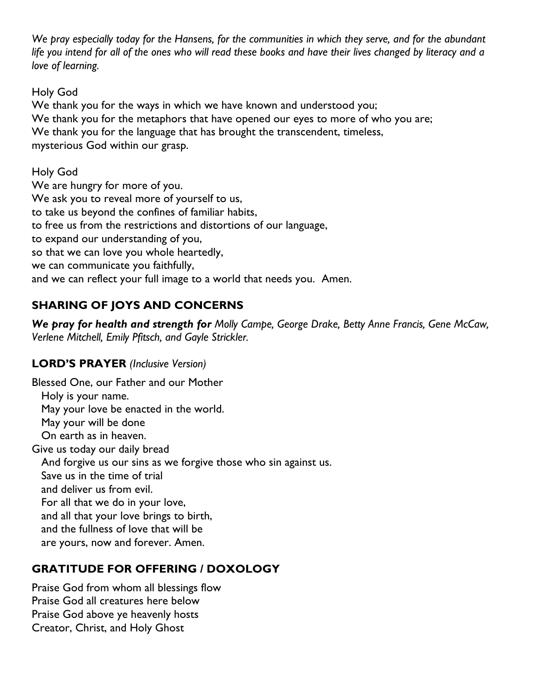*We pray especially today for the Hansens, for the communities in which they serve, and for the abundant life you intend for all of the ones who will read these books and have their lives changed by literacy and a love of learning.*

### Holy God

We thank you for the ways in which we have known and understood you; We thank you for the metaphors that have opened our eyes to more of who you are; We thank you for the language that has brought the transcendent, timeless, mysterious God within our grasp.

### Holy God

We are hungry for more of you. We ask you to reveal more of yourself to us, to take us beyond the confines of familiar habits, to free us from the restrictions and distortions of our language, to expand our understanding of you, so that we can love you whole heartedly, we can communicate you faithfully, and we can reflect your full image to a world that needs you. Amen.

# **SHARING OF JOYS AND CONCERNS**

*We pray for health and strength for Molly Campe, George Drake, Betty Anne Francis, Gene McCaw, Verlene Mitchell, Emily Pfitsch, and Gayle Strickler.*

# **LORD'S PRAYER** *(Inclusive Version)*

Blessed One, our Father and our Mother Holy is your name. May your love be enacted in the world. May your will be done On earth as in heaven. Give us today our daily bread And forgive us our sins as we forgive those who sin against us. Save us in the time of trial and deliver us from evil. For all that we do in your love, and all that your love brings to birth, and the fullness of love that will be are yours, now and forever. Amen.

# **GRATITUDE FOR OFFERING / DOXOLOGY**

Praise God from whom all blessings flow Praise God all creatures here below Praise God above ye heavenly hosts Creator, Christ, and Holy Ghost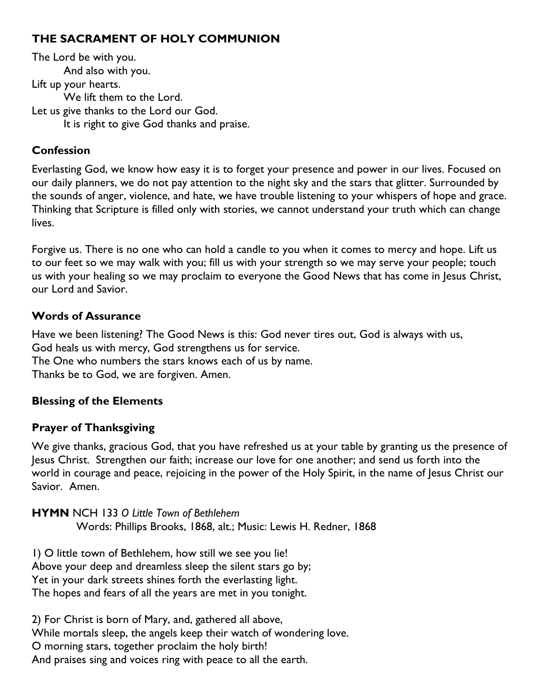### **THE SACRAMENT OF HOLY COMMUNION**

The Lord be with you. And also with you. Lift up your hearts. We lift them to the Lord. Let us give thanks to the Lord our God. It is right to give God thanks and praise.

#### **Confession**

Everlasting God, we know how easy it is to forget your presence and power in our lives. Focused on our daily planners, we do not pay attention to the night sky and the stars that glitter. Surrounded by the sounds of anger, violence, and hate, we have trouble listening to your whispers of hope and grace. Thinking that Scripture is filled only with stories, we cannot understand your truth which can change lives.

Forgive us. There is no one who can hold a candle to you when it comes to mercy and hope. Lift us to our feet so we may walk with you; fill us with your strength so we may serve your people; touch us with your healing so we may proclaim to everyone the Good News that has come in Jesus Christ, our Lord and Savior.

#### **Words of Assurance**

Have we been listening? The Good News is this: God never tires out, God is always with us, God heals us with mercy, God strengthens us for service. The One who numbers the stars knows each of us by name. Thanks be to God, we are forgiven. Amen.

### **Blessing of the Elements**

### **Prayer of Thanksgiving**

We give thanks, gracious God, that you have refreshed us at your table by granting us the presence of Jesus Christ. Strengthen our faith; increase our love for one another; and send us forth into the world in courage and peace, rejoicing in the power of the Holy Spirit, in the name of Jesus Christ our Savior. Amen.

**HYMN** NCH 133 *O Little Town of Bethlehem* Words: Phillips Brooks, 1868, alt.; Music: Lewis H. Redner, 1868

1) O little town of Bethlehem, how still we see you lie! Above your deep and dreamless sleep the silent stars go by; Yet in your dark streets shines forth the everlasting light. The hopes and fears of all the years are met in you tonight.

2) For Christ is born of Mary, and, gathered all above, While mortals sleep, the angels keep their watch of wondering love. O morning stars, together proclaim the holy birth! And praises sing and voices ring with peace to all the earth.